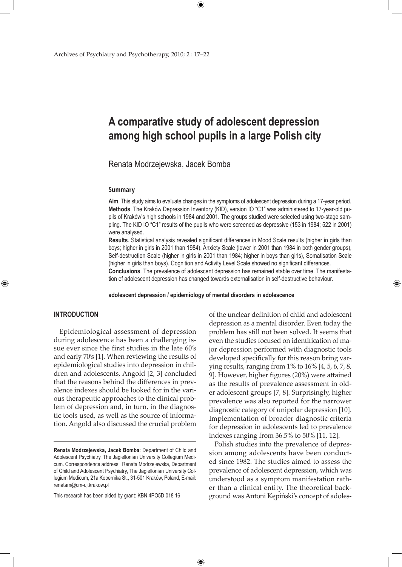# **A comparative study of adolescent depression among high school pupils in a large Polish city**

 $\bigoplus$ 

Renata Modrzejewska, Jacek Bomba

#### **Summary**

**Aim**. This study aims to evaluate changes in the symptoms of adolescent depression during a 17-year period. **Methods**. The Kraków Depression Inventory (KID), version IO "C1" was administered to 17-year-old pupils of Kraków's high schools in 1984 and 2001. The groups studied were selected using two-stage sampling. The KID IO "C1" results of the pupils who were screened as depressive (153 in 1984; 522 in 2001) were analysed.

**Results**. Statistical analysis revealed significant differences in Mood Scale results (higher in girls than boys; higher in girls in 2001 than 1984), Anxiety Scale (lower in 2001 than 1984 in both gender groups), Self-destruction Scale (higher in girls in 2001 than 1984; higher in boys than girls), Somatisation Scale (higher in girls than boys). Cognition and Activity Level Scale showed no significant differences. **Conclusions**. The prevalence of adolescent depression has remained stable over time. The manifestation of adolescent depression has changed towards externalisation in self-destructive behaviour.

**adolescent depression / epidemiology of mental disorders in adolescence**

 $\bigoplus$ 

#### **INTRODUCTION**

⊕

Epidemiological assessment of depression during adolescence has been a challenging issue ever since the first studies in the late 60's and early 70's [1]. When reviewing the results of epidemiological studies into depression in children and adolescents, Angold [2, 3] concluded that the reasons behind the differences in prevalence indexes should be looked for in the various therapeutic approaches to the clinical problem of depression and, in turn, in the diagnostic tools used, as well as the source of information. Angold also discussed the crucial problem

This research has been aided by grant: KBN 4PO5D 018 16

of the unclear definition of child and adolescent depression as a mental disorder. Even today the problem has still not been solved. It seems that even the studies focused on identification of major depression performed with diagnostic tools developed specifically for this reason bring varying results, ranging from 1% to 16% [4, 5, 6, 7, 8, 9]. However, higher figures (20%) were attained as the results of prevalence assessment in older adolescent groups [7, 8]. Surprisingly, higher prevalence was also reported for the narrower diagnostic category of unipolar depression [10]. Implementation of broader diagnostic criteria for depression in adolescents led to prevalence indexes ranging from 36.5% to 50% [11, 12].

⊕

Polish studies into the prevalence of depression among adolescents have been conducted since 1982. The studies aimed to assess the prevalence of adolescent depression, which was understood as a symptom manifestation rather than a clinical entity. The theoretical background was Antoni Kępiński's concept of adoles-

**Renata Modrzejewska, Jacek Bomba**: Department of Child and Adolescent Psychiatry, The Jagiellonian University Collegium Medicum. Correspondence address: Renata Modrzejewska, Department of Child and Adolescent Psychiatry, The Jagiellonian University Collegium Medicum, 21a Kopernika St., 31-501 Kraków, Poland, E-mail: renatam@cm-uj.krakow.pl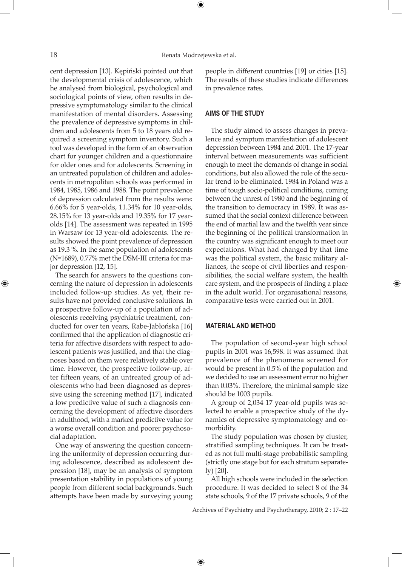cent depression [13]. Kępiński pointed out that the developmental crisis of adolescence, which he analysed from biological, psychological and sociological points of view, often results in depressive symptomatology similar to the clinical manifestation of mental disorders. Assessing the prevalence of depressive symptoms in children and adolescents from 5 to 18 years old required a screening symptom inventory. Such a tool was developed in the form of an observation chart for younger children and a questionnaire for older ones and for adolescents. Screening in an untreated population of children and adolescents in metropolitan schools was performed in 1984, 1985, 1986 and 1988. The point prevalence of depression calculated from the results were: 6.66% for 5 year-olds, 11.34% for 10 year-olds, 28.15% for 13 year-olds and 19.35% for 17 yearolds [14]. The assessment was repeated in 1995 in Warsaw for 13 year-old adolescents. The results showed the point prevalence of depression as 19.3 %. In the same population of adolescents (N=1689), 0.77% met the DSM-III criteria for major depression [12, 15].

The search for answers to the questions concerning the nature of depression in adolescents included follow-up studies. As yet, their results have not provided conclusive solutions. In a prospective follow-up of a population of adolescents receiving psychiatric treatment, conducted for over ten years, Rabe-Jabłońska [16] confirmed that the application of diagnostic criteria for affective disorders with respect to adolescent patients was justified, and that the diagnoses based on them were relatively stable over time. However, the prospective follow-up, after fifteen years, of an untreated group of adolescents who had been diagnosed as depressive using the screening method [17], indicated a low predictive value of such a diagnosis concerning the development of affective disorders in adulthood, with a marked predictive value for a worse overall condition and poorer psychosocial adaptation.

One way of answering the question concerning the uniformity of depression occurring during adolescence, described as adolescent depression [18], may be an analysis of symptom presentation stability in populations of young people from different social backgrounds. Such attempts have been made by surveying young people in different countries [19] or cities [15]. The results of these studies indicate differences in prevalence rates.

## **AIMS OF THE STUDY**

The study aimed to assess changes in prevalence and symptom manifestation of adolescent depression between 1984 and 2001. The 17-year interval between measurements was sufficient enough to meet the demands of change in social conditions, but also allowed the role of the secular trend to be eliminated. 1984 in Poland was a time of tough socio-political conditions, coming between the unrest of 1980 and the beginning of the transition to democracy in 1989. It was assumed that the social context difference between the end of martial law and the twelfth year since the beginning of the political transformation in the country was significant enough to meet our expectations. What had changed by that time was the political system, the basic military alliances, the scope of civil liberties and responsibilities, the social welfare system, the health care system, and the prospects of finding a place in the adult world. For organisational reasons, comparative tests were carried out in 2001.

⊕

### **MATERIAL AND METHOD**

The population of second-year high school pupils in 2001 was 16,598. It was assumed that prevalence of the phenomena screened for would be present in 0.5% of the population and we decided to use an assessment error no higher than 0.03%. Therefore, the minimal sample size should be 1003 pupils.

A group of 2,034 17 year-old pupils was selected to enable a prospective study of the dynamics of depressive symptomatology and comorbidity.

The study population was chosen by cluster, stratified sampling techniques. It can be treated as not full multi-stage probabilistic sampling (strictly one stage but for each stratum separately) [20].

All high schools were included in the selection procedure. It was decided to select 8 of the 34 state schools, 9 of the 17 private schools, 9 of the

Archives of Psychiatry and Psychotherapy, 2010; 2 : 17–22

 $\bigoplus$ 

⊕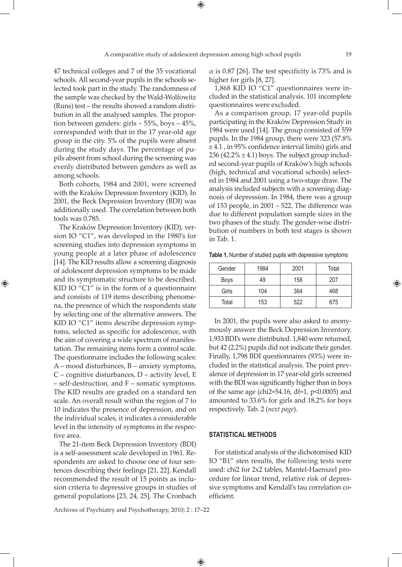⊕

⊕

47 technical colleges and 7 of the 35 vocational schools. All second-year pupils in the schools selected took part in the study. The randomness of the sample was checked by the Wald-Wolfowitz (Runs) test – the results showed a random distribution in all the analysed samples. The proportion between genders: girls – 55%, boys – 45%, corresponded with that in the 17 year-old age group in the city. 5% of the pupils were absent during the study days. The percentage of pupils absent from school during the screening was evenly distributed between genders as well as among schools.

Both cohorts, 1984 and 2001, were screened with the Kraków Depression Inventory (KID). In 2001, the Beck Depression Inventory (BDI) was additionally used. The correlation between both tools was 0.785.

The Kraków Depression Inventory (KID), version IO "C1", was developed in the 1980's for screening studies into depression symptoms in young people at a later phase of adolescence [14]. The KID results allow a screening diagnosis of adolescent depression symptoms to be made and its symptomatic structure to be described. KID IO "C1" is in the form of a questionnaire and consists of 119 items describing phenomena, the presence of which the respondents state by selecting one of the alternative answers. The KID IO "C1" items describe depression symptoms, selected as specific for adolescence, with the aim of covering a wide spectrum of manifestation. The remaining items form a control scale. The questionnaire includes the following scales: A – mood disturbances, B – anxiety symptoms, C – cognitive disturbances, D – activity level, E – self-destruction, and F – somatic symptoms. The KID results are graded on a standard ten scale. An overall result within the region of 7 to 10 indicates the presence of depression, and on the individual scales, it indicates a considerable level in the intensity of symptoms in the respective area.

⊕

The 21-item Beck Depression Inventory (BDI) is a self-assessment scale developed in 1961. Respondents are asked to choose one of four sentences describing their feelings [21, 22]. Kendall recommended the result of 15 points as inclusion criteria to depressive groups in studies of general populations [23, 24, 25]. The Cronbach

Archives of Psychiatry and Psychotherapy, 2010; 2 : 17–22

 $\alpha$  is 0.87 [26]. The test specificity is 73% and is higher for girls [8, 27].

1,868 KID IO "C1" questionnaires were included in the statistical analysis. 101 incomplete questionnaires were excluded.

As a comparison group, 17 year-old pupils participating in the Kraków Depression Study in 1984 were used [14]. The group consisted of 559 pupils. In the 1984 group, there were 323 (57.8% ± 4.1 , in 95% confidence interval limits) girls and 236 (42.2%  $\pm$  4.1) boys. The subject group included second-year pupils of Kraków's high schools (high, technical and vocational schools) selected in 1984 and 2001 using a two-stage draw. The analysis included subjects with a screening diagnosis of depression. In 1984, there was a group of 153 people, in 2001 – 522. The difference was due to different population sample sizes in the two phases of the study. The gender-wise distribution of numbers in both test stages is shown in Tab. 1.

| Table 1. Number of studied pupils with depressive symptoms |
|------------------------------------------------------------|
|------------------------------------------------------------|

| Gender | 1984 | 2001 | Total |
|--------|------|------|-------|
| Boys   | 49   | 158  | 207   |
| Girls  | 104  | 364  | 468   |
| Total  | 153  | 522  | 675   |

In 2001, the pupils were also asked to anonymously answer the Beck Depression Inventory. 1,933 BDI's were distributed. 1,840 were returned, but 42 (2.2%) pupils did not indicate their gender. Finally, 1,798 BDI questionnaires (93%) were included in the statistical analysis. The point prevalence of depression in 17 year-old girls screened with the BDI was significantly higher than in boys of the same age (chi2=54.16, df=1,  $p$ <0.0005) and amounted to 33.6% for girls and 18.2% for boys respectively. Tab. 2 (*next page*).

# **STATISTICAL METHODS**

⊕

For statistical analysis of the dichotomised KID IO "B1" sten results, the following tests were used: chi2 for 2x2 tables, Mantel-Haenszel procedure for linear trend, relative risk of depressive symptoms and Kendall's tau correlation coefficient.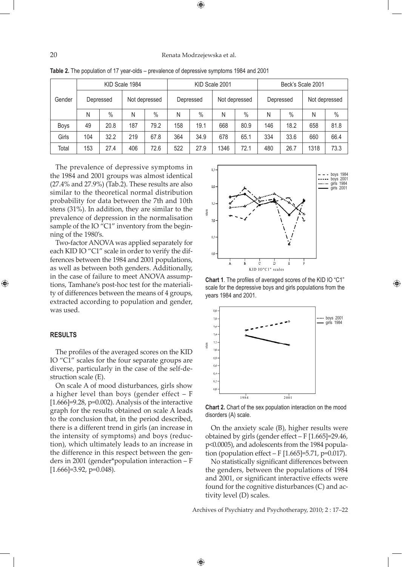$\bigoplus$ 

|        | KID Scale 1984 |               |               | KID Scale 2001 |           |      | Beck's Scale 2001 |      |           |               |               |               |
|--------|----------------|---------------|---------------|----------------|-----------|------|-------------------|------|-----------|---------------|---------------|---------------|
| Gender | Depressed      |               | Not depressed |                | Depressed |      | Not depressed     |      | Depressed |               | Not depressed |               |
|        | Ν              | $\frac{0}{0}$ | Ν             | $\frac{0}{0}$  | N         | $\%$ | Ν                 | $\%$ | N         | $\frac{0}{0}$ | Ν             | $\frac{0}{0}$ |
| Boys   | 49             | 20.8          | 187           | 79.2           | 158       | 19.1 | 668               | 80.9 | 146       | 18.2          | 658           | 81.8          |
| Girls  | 104            | 32.2          | 219           | 67.8           | 364       | 34.9 | 678               | 65.1 | 334       | 33.6          | 660           | 66.4          |
| Total  | 153            | 27.4          | 406           | 72.6           | 522       | 27.9 | 1346              | 72.1 | 480       | 26.7          | 1318          | 73.3          |

**Table 2.** The population of 17 year-olds – prevalence of depressive symptoms 1984 and 2001

The prevalence of depressive symptoms in the 1984 and 2001 groups was almost identical (27.4% and 27.9%) (Tab.2). These results are also similar to the theoretical normal distribution probability for data between the 7th and 10th stens (31%). In addition, they are similar to the prevalence of depression in the normalisation sample of the IO "C1" inventory from the beginning of the 1980's.

Two-factor ANOVA was applied separately for each KID IO "C1" scale in order to verify the differences between the 1984 and 2001 populations, as well as between both genders. Additionally, in the case of failure to meet ANOVA assumptions, Tamhane's post-hoc test for the materiality of differences between the means of 4 groups, extracted according to population and gender, was used.

## **RESULTS**

⊕

The profiles of the averaged scores on the KID IO "C1" scales for the four separate groups are diverse, particularly in the case of the self-destruction scale (E).

On scale A of mood disturbances, girls show a higher level than boys (gender effect – F [1.666]=9.28, p=0.002). Analysis of the interactive graph for the results obtained on scale A leads to the conclusion that, in the period described, there is a different trend in girls (an increase in the intensity of symptoms) and boys (reduction), which ultimately leads to an increase in the difference in this respect between the genders in 2001 (gender\*population interaction – F  $[1.666]$ =3.92, p=0.048).



**Chart 1**. The profiles of averaged scores of the KID IO "C1" scale for the depressive boys and girls populations from the years 1984 and 2001.

⊕



**Chart 2.** Chart of the sex population interaction on the mood disorders (A) scale.

On the anxiety scale (B), higher results were obtained by girls (gender effect – F [1.665]=29.46, p<0.0005), and adolescents from the 1984 population (population effect – F  $[1.665]$ =5.71, p=0.017).

No statistically significant differences between the genders, between the populations of 1984 and 2001, or significant interactive effects were found for the cognitive disturbances (C) and activity level (D) scales.

Archives of Psychiatry and Psychotherapy, 2010; 2 : 17–22

 $\bigoplus$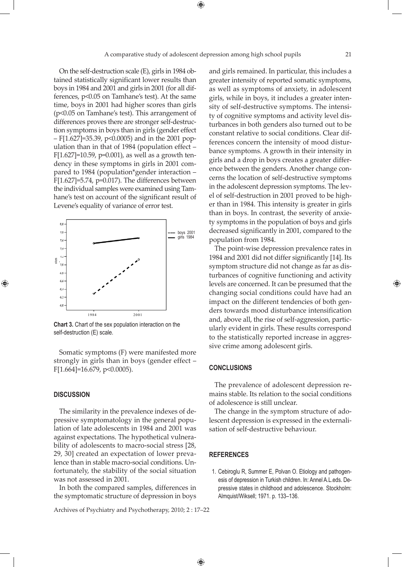$\bigoplus$ 

On the self-destruction scale (E), girls in 1984 obtained statistically significant lower results than boys in 1984 and 2001 and girls in 2001 (for all differences, p<0.05 on Tamhane's test). At the same time, boys in 2001 had higher scores than girls (p<0.05 on Tamhane's test). This arrangement of differences proves there are stronger self-destruction symptoms in boys than in girls (gender effect – F[1.627]=35.39, p<0.0005) and in the 2001 population than in that of 1984 (population effect –  $F[1.627]$ =10.59, p=0.001), as well as a growth tendency in these symptoms in girls in 2001 compared to 1984 (population\*gender interaction – F[1.627]=5.74, p=0.017). The differences between the individual samples were examined using Tamhane's test on account of the significant result of Levene's equality of variance of error test.



**Chart 3.** Chart of the sex population interaction on the self-destruction (E) scale.

Somatic symptoms (F) were manifested more strongly in girls than in boys (gender effect – F[1.664]=16.679, p<0.0005).

#### **DISCUSSION**

⊕

The similarity in the prevalence indexes of depressive symptomatology in the general population of late adolescents in 1984 and 2001 was against expectations. The hypothetical vulnerability of adolescents to macro-social stress [28, 29, 30] created an expectation of lower prevalence than in stable macro-social conditions. Unfortunately, the stability of the social situation was not assessed in 2001. Example 12 and the symptom interaction on the search of the sex population interaction on the search depressive symptoms (F) were manifested more strongly in girls than in boys (gender effect – F[1.664]=16.679, p<0.0005).

In both the compared samples, differences in

Archives of Psychiatry and Psychotherapy, 2010; 2 : 17–22

and girls remained. In particular, this includes a greater intensity of reported somatic symptoms, as well as symptoms of anxiety, in adolescent girls, while in boys, it includes a greater intensity of self-destructive symptoms. The intensity of cognitive symptoms and activity level disturbances in both genders also turned out to be constant relative to social conditions. Clear differences concern the intensity of mood disturbance symptoms. A growth in their intensity in girls and a drop in boys creates a greater difference between the genders. Another change concerns the location of self-destructive symptoms in the adolescent depression symptoms. The level of self-destruction in 2001 proved to be higher than in 1984. This intensity is greater in girls than in boys. In contrast, the severity of anxiety symptoms in the population of boys and girls decreased significantly in 2001, compared to the population from 1984.

The point-wise depression prevalence rates in 1984 and 2001 did not differ significantly [14]. Its symptom structure did not change as far as disturbances of cognitive functioning and activity levels are concerned. It can be presumed that the changing social conditions could have had an impact on the different tendencies of both genders towards mood disturbance intensification and, above all, the rise of self-aggression, particularly evident in girls. These results correspond to the statistically reported increase in aggressive crime among adolescent girls.

# **CONCLUSIONS**

The prevalence of adolescent depression remains stable. Its relation to the social conditions of adolescence is still unclear.

The change in the symptom structure of adolescent depression is expressed in the externalisation of self-destructive behaviour.

# **REFERENCES**

 $\bigoplus$ 

 1. Cebiroglu R, Summer E, Polvan O. Etiology and pathogenesis of depression in Turkish children. In: Annel A.L.eds. Depressive states in childhood and adolescence. Stockholm: Almquist/Wiksell; 1971. p. 133–136.

⊕